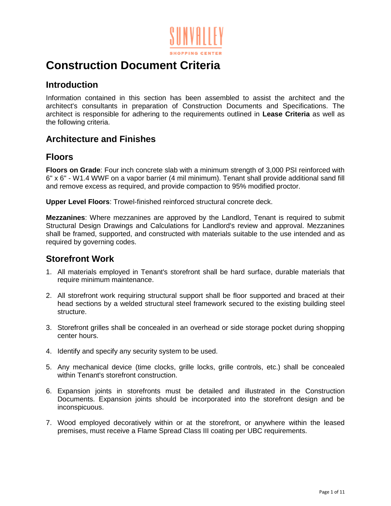

# **Construction Document Criteria**

### **Introduction**

Information contained in this section has been assembled to assist the architect and the architect's consultants in preparation of Construction Documents and Specifications. The architect is responsible for adhering to the requirements outlined in **Lease Criteria** as well as the following criteria.

### **Architecture and Finishes**

### **Floors**

**Floors on Grade**: Four inch concrete slab with a minimum strength of 3,000 PSI reinforced with 6" x 6" - W1.4 WWF on a vapor barrier (4 mil minimum). Tenant shall provide additional sand fill and remove excess as required, and provide compaction to 95% modified proctor.

**Upper Level Floors**: Trowel-finished reinforced structural concrete deck.

**Mezzanines**: Where mezzanines are approved by the Landlord, Tenant is required to submit Structural Design Drawings and Calculations for Landlord's review and approval. Mezzanines shall be framed, supported, and constructed with materials suitable to the use intended and as required by governing codes.

### **Storefront Work**

- 1. All materials employed in Tenant's storefront shall be hard surface, durable materials that require minimum maintenance.
- 2. All storefront work requiring structural support shall be floor supported and braced at their head sections by a welded structural steel framework secured to the existing building steel structure.
- 3. Storefront grilles shall be concealed in an overhead or side storage pocket during shopping center hours.
- 4. Identify and specify any security system to be used.
- 5. Any mechanical device (time clocks, grille locks, grille controls, etc.) shall be concealed within Tenant's storefront construction.
- 6. Expansion joints in storefronts must be detailed and illustrated in the Construction Documents. Expansion joints should be incorporated into the storefront design and be inconspicuous.
- 7. Wood employed decoratively within or at the storefront, or anywhere within the leased premises, must receive a Flame Spread Class III coating per UBC requirements.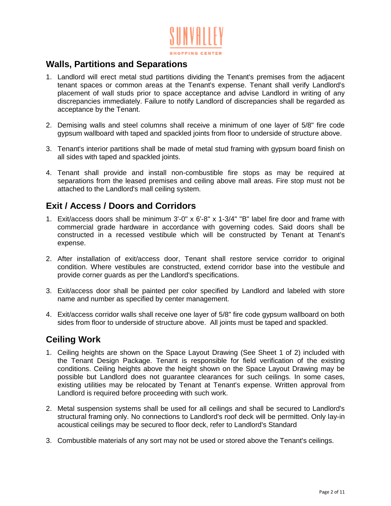

### **Walls, Partitions and Separations**

- 1. Landlord will erect metal stud partitions dividing the Tenant's premises from the adjacent tenant spaces or common areas at the Tenant's expense. Tenant shall verify Landlord's placement of wall studs prior to space acceptance and advise Landlord in writing of any discrepancies immediately. Failure to notify Landlord of discrepancies shall be regarded as acceptance by the Tenant.
- 2. Demising walls and steel columns shall receive a minimum of one layer of 5/8" fire code gypsum wallboard with taped and spackled joints from floor to underside of structure above.
- 3. Tenant's interior partitions shall be made of metal stud framing with gypsum board finish on all sides with taped and spackled joints.
- 4. Tenant shall provide and install non-combustible fire stops as may be required at separations from the leased premises and ceiling above mall areas. Fire stop must not be attached to the Landlord's mall ceiling system.

### **Exit / Access / Doors and Corridors**

- 1. Exit/access doors shall be minimum 3'-0" x 6'-8" x 1-3/4" "B" label fire door and frame with commercial grade hardware in accordance with governing codes. Said doors shall be constructed in a recessed vestibule which will be constructed by Tenant at Tenant's expense.
- 2. After installation of exit/access door, Tenant shall restore service corridor to original condition. Where vestibules are constructed, extend corridor base into the vestibule and provide corner guards as per the Landlord's specifications.
- 3. Exit/access door shall be painted per color specified by Landlord and labeled with store name and number as specified by center management.
- 4. Exit/access corridor walls shall receive one layer of 5/8" fire code gypsum wallboard on both sides from floor to underside of structure above. All joints must be taped and spackled.

## **Ceiling Work**

- 1. Ceiling heights are shown on the Space Layout Drawing (See Sheet 1 of 2) included with the Tenant Design Package. Tenant is responsible for field verification of the existing conditions. Ceiling heights above the height shown on the Space Layout Drawing may be possible but Landlord does not guarantee clearances for such ceilings. In some cases, existing utilities may be relocated by Tenant at Tenant's expense. Written approval from Landlord is required before proceeding with such work.
- 2. Metal suspension systems shall be used for all ceilings and shall be secured to Landlord's structural framing only. No connections to Landlord's roof deck will be permitted. Only lay-in acoustical ceilings may be secured to floor deck, refer to Landlord's Standard
- 3. Combustible materials of any sort may not be used or stored above the Tenant's ceilings.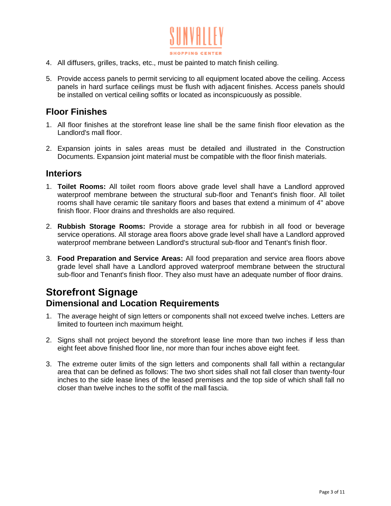

- 4. All diffusers, grilles, tracks, etc., must be painted to match finish ceiling.
- 5. Provide access panels to permit servicing to all equipment located above the ceiling. Access panels in hard surface ceilings must be flush with adjacent finishes. Access panels should be installed on vertical ceiling soffits or located as inconspicuously as possible.

### **Floor Finishes**

- 1. All floor finishes at the storefront lease line shall be the same finish floor elevation as the Landlord's mall floor.
- 2. Expansion joints in sales areas must be detailed and illustrated in the Construction Documents. Expansion joint material must be compatible with the floor finish materials.

#### **Interiors**

- 1. **Toilet Rooms:** All toilet room floors above grade level shall have a Landlord approved waterproof membrane between the structural sub-floor and Tenant's finish floor. All toilet rooms shall have ceramic tile sanitary floors and bases that extend a minimum of 4" above finish floor. Floor drains and thresholds are also required.
- 2. **Rubbish Storage Rooms:** Provide a storage area for rubbish in all food or beverage service operations. All storage area floors above grade level shall have a Landlord approved waterproof membrane between Landlord's structural sub-floor and Tenant's finish floor.
- 3. **Food Preparation and Service Areas:** All food preparation and service area floors above grade level shall have a Landlord approved waterproof membrane between the structural sub-floor and Tenant's finish floor. They also must have an adequate number of floor drains.

# **Storefront Signage Dimensional and Location Requirements**

- 1. The average height of sign letters or components shall not exceed twelve inches. Letters are limited to fourteen inch maximum height.
- 2. Signs shall not project beyond the storefront lease line more than two inches if less than eight feet above finished floor line, nor more than four inches above eight feet.
- 3. The extreme outer limits of the sign letters and components shall fall within a rectangular area that can be defined as follows: The two short sides shall not fall closer than twenty-four inches to the side lease lines of the leased premises and the top side of which shall fall no closer than twelve inches to the soffit of the mall fascia.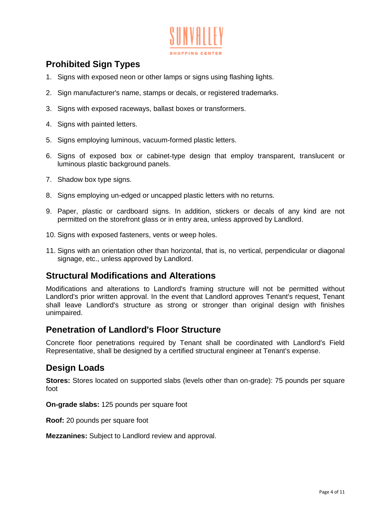

# **Prohibited Sign Types**

- 1. Signs with exposed neon or other lamps or signs using flashing lights.
- 2. Sign manufacturer's name, stamps or decals, or registered trademarks.
- 3. Signs with exposed raceways, ballast boxes or transformers.
- 4. Signs with painted letters.
- 5. Signs employing luminous, vacuum-formed plastic letters.
- 6. Signs of exposed box or cabinet-type design that employ transparent, translucent or luminous plastic background panels.
- 7. Shadow box type signs.
- 8. Signs employing un-edged or uncapped plastic letters with no returns.
- 9. Paper, plastic or cardboard signs. In addition, stickers or decals of any kind are not permitted on the storefront glass or in entry area, unless approved by Landlord.
- 10. Signs with exposed fasteners, vents or weep holes.
- 11. Signs with an orientation other than horizontal, that is, no vertical, perpendicular or diagonal signage, etc., unless approved by Landlord.

#### **Structural Modifications and Alterations**

Modifications and alterations to Landlord's framing structure will not be permitted without Landlord's prior written approval. In the event that Landlord approves Tenant's request, Tenant shall leave Landlord's structure as strong or stronger than original design with finishes unimpaired.

### **Penetration of Landlord's Floor Structure**

Concrete floor penetrations required by Tenant shall be coordinated with Landlord's Field Representative, shall be designed by a certified structural engineer at Tenant's expense.

#### **Design Loads**

**Stores:** Stores located on supported slabs (levels other than on-grade): 75 pounds per square foot

**On-grade slabs:** 125 pounds per square foot

**Roof:** 20 pounds per square foot

**Mezzanines:** Subject to Landlord review and approval.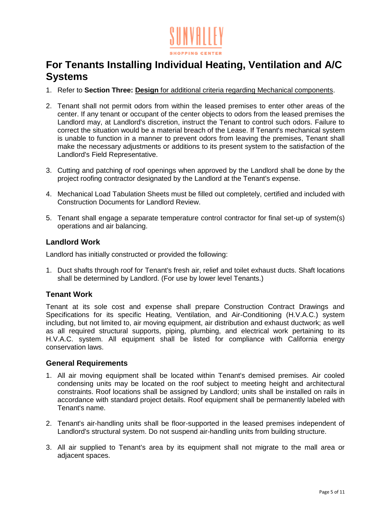

# **For Tenants Installing Individual Heating, Ventilation and A/C Systems**

- 1. Refer to **Section Three: Design** for additional criteria regarding Mechanical components.
- 2. Tenant shall not permit odors from within the leased premises to enter other areas of the center. If any tenant or occupant of the center objects to odors from the leased premises the Landlord may, at Landlord's discretion, instruct the Tenant to control such odors. Failure to correct the situation would be a material breach of the Lease. If Tenant's mechanical system is unable to function in a manner to prevent odors from leaving the premises, Tenant shall make the necessary adjustments or additions to its present system to the satisfaction of the Landlord's Field Representative.
- 3. Cutting and patching of roof openings when approved by the Landlord shall be done by the project roofing contractor designated by the Landlord at the Tenant's expense.
- 4. Mechanical Load Tabulation Sheets must be filled out completely, certified and included with Construction Documents for Landlord Review.
- 5. Tenant shall engage a separate temperature control contractor for final set-up of system(s) operations and air balancing.

#### **Landlord Work**

Landlord has initially constructed or provided the following:

1. Duct shafts through roof for Tenant's fresh air, relief and toilet exhaust ducts. Shaft locations shall be determined by Landlord. (For use by lower level Tenants.)

#### **Tenant Work**

Tenant at its sole cost and expense shall prepare Construction Contract Drawings and Specifications for its specific Heating, Ventilation, and Air-Conditioning (H.V.A.C.) system including, but not limited to, air moving equipment, air distribution and exhaust ductwork; as well as all required structural supports, piping, plumbing, and electrical work pertaining to its H.V.A.C. system. All equipment shall be listed for compliance with California energy conservation laws.

#### **General Requirements**

- 1. All air moving equipment shall be located within Tenant's demised premises. Air cooled condensing units may be located on the roof subject to meeting height and architectural constraints. Roof locations shall be assigned by Landlord; units shall be installed on rails in accordance with standard project details. Roof equipment shall be permanently labeled with Tenant's name.
- 2. Tenant's air-handling units shall be floor-supported in the leased premises independent of Landlord's structural system. Do not suspend air-handling units from building structure.
- 3. All air supplied to Tenant's area by its equipment shall not migrate to the mall area or adjacent spaces.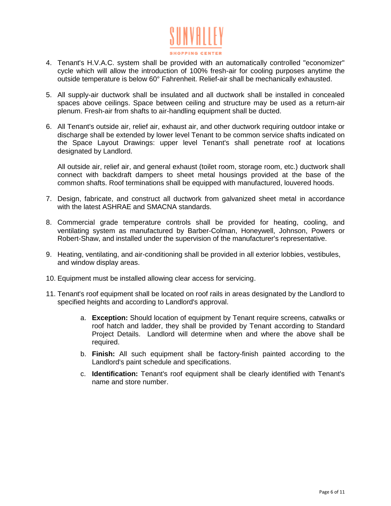

- 4. Tenant's H.V.A.C. system shall be provided with an automatically controlled "economizer" cycle which will allow the introduction of 100% fresh-air for cooling purposes anytime the outside temperature is below 60° Fahrenheit. Relief-air shall be mechanically exhausted.
- 5. All supply-air ductwork shall be insulated and all ductwork shall be installed in concealed spaces above ceilings. Space between ceiling and structure may be used as a return-air plenum. Fresh-air from shafts to air-handling equipment shall be ducted.
- 6. All Tenant's outside air, relief air, exhaust air, and other ductwork requiring outdoor intake or discharge shall be extended by lower level Tenant to be common service shafts indicated on the Space Layout Drawings: upper level Tenant's shall penetrate roof at locations designated by Landlord.

All outside air, relief air, and general exhaust (toilet room, storage room, etc.) ductwork shall connect with backdraft dampers to sheet metal housings provided at the base of the common shafts. Roof terminations shall be equipped with manufactured, louvered hoods.

- 7. Design, fabricate, and construct all ductwork from galvanized sheet metal in accordance with the latest ASHRAE and SMACNA standards.
- 8. Commercial grade temperature controls shall be provided for heating, cooling, and ventilating system as manufactured by Barber-Colman, Honeywell, Johnson, Powers or Robert-Shaw, and installed under the supervision of the manufacturer's representative.
- 9. Heating, ventilating, and air-conditioning shall be provided in all exterior lobbies, vestibules, and window display areas.
- 10. Equipment must be installed allowing clear access for servicing.
- 11. Tenant's roof equipment shall be located on roof rails in areas designated by the Landlord to specified heights and according to Landlord's approval.
	- a. **Exception:** Should location of equipment by Tenant require screens, catwalks or roof hatch and ladder, they shall be provided by Tenant according to Standard Project Details. Landlord will determine when and where the above shall be required.
	- b. **Finish:** All such equipment shall be factory-finish painted according to the Landlord's paint schedule and specifications.
	- c. **Identification:** Tenant's roof equipment shall be clearly identified with Tenant's name and store number.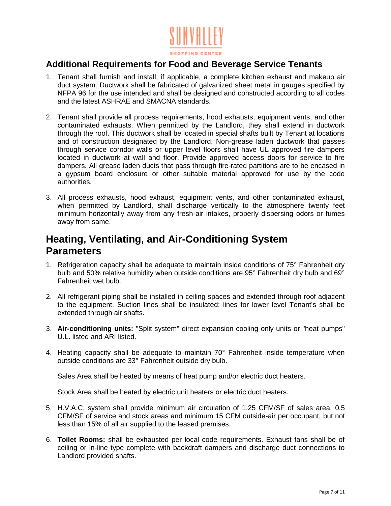

## **Additional Requirements for Food and Beverage Service Tenants**

- 1. Tenant shall furnish and install, if applicable, a complete kitchen exhaust and makeup air duct system. Ductwork shall be fabricated of galvanized sheet metal in gauges specified by NFPA 96 for the use intended and shall be designed and constructed according to all codes and the latest ASHRAE and SMACNA standards.
- 2. Tenant shall provide all process requirements, hood exhausts, equipment vents, and other contaminated exhausts. When permitted by the Landlord, they shall extend in ductwork through the roof. This ductwork shall be located in special shafts built by Tenant at locations and of construction designated by the Landlord. Non-grease laden ductwork that passes through service corridor walls or upper level floors shall have UL approved fire dampers located in ductwork at wall and floor. Provide approved access doors for service to fire dampers. All grease laden ducts that pass through fire-rated partitions are to be encased in a gypsum board enclosure or other suitable material approved for use by the code authorities.
- 3. All process exhausts, hood exhaust, equipment vents, and other contaminated exhaust, when permitted by Landlord, shall discharge vertically to the atmosphere twenty feet minimum horizontally away from any fresh-air intakes, properly dispersing odors or fumes away from same.

# **Heating, Ventilating, and Air-Conditioning System Parameters**

- 1. Refrigeration capacity shall be adequate to maintain inside conditions of 75° Fahrenheit dry bulb and 50% relative humidity when outside conditions are 95° Fahrenheit dry bulb and 69° Fahrenheit wet bulb.
- 2. All refrigerant piping shall be installed in ceiling spaces and extended through roof adjacent to the equipment. Suction lines shall be insulated; lines for lower level Tenant's shall be extended through air shafts.
- 3. **Air-conditioning units:** "Split system" direct expansion cooling only units or "heat pumps" U.L. listed and ARI listed.
- 4. Heating capacity shall be adequate to maintain 70° Fahrenheit inside temperature when outside conditions are 33° Fahrenheit outside dry bulb.

Sales Area shall be heated by means of heat pump and/or electric duct heaters.

Stock Area shall be heated by electric unit heaters or electric duct heaters.

- 5. H.V.A.C. system shall provide minimum air circulation of 1.25 CFM/SF of sales area, 0.5 CFM/SF of service and stock areas and minimum 15 CFM outside-air per occupant, but not less than 15% of all air supplied to the leased premises.
- 6. **Toilet Rooms:** shall be exhausted per local code requirements. Exhaust fans shall be of ceiling or in-line type complete with backdraft dampers and discharge duct connections to Landlord provided shafts.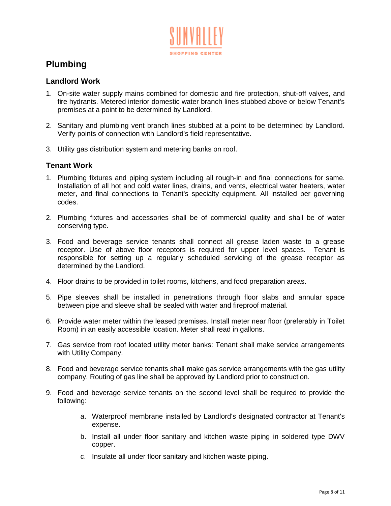

# **Plumbing**

#### **Landlord Work**

- 1. On-site water supply mains combined for domestic and fire protection, shut-off valves, and fire hydrants. Metered interior domestic water branch lines stubbed above or below Tenant's premises at a point to be determined by Landlord.
- 2. Sanitary and plumbing vent branch lines stubbed at a point to be determined by Landlord. Verify points of connection with Landlord's field representative.
- 3. Utility gas distribution system and metering banks on roof.

#### **Tenant Work**

- 1. Plumbing fixtures and piping system including all rough-in and final connections for same. Installation of all hot and cold water lines, drains, and vents, electrical water heaters, water meter, and final connections to Tenant's specialty equipment. All installed per governing codes.
- 2. Plumbing fixtures and accessories shall be of commercial quality and shall be of water conserving type.
- 3. Food and beverage service tenants shall connect all grease laden waste to a grease receptor. Use of above floor receptors is required for upper level spaces. Tenant is responsible for setting up a regularly scheduled servicing of the grease receptor as determined by the Landlord.
- 4. Floor drains to be provided in toilet rooms, kitchens, and food preparation areas.
- 5. Pipe sleeves shall be installed in penetrations through floor slabs and annular space between pipe and sleeve shall be sealed with water and fireproof material.
- 6. Provide water meter within the leased premises. Install meter near floor (preferably in Toilet Room) in an easily accessible location. Meter shall read in gallons.
- 7. Gas service from roof located utility meter banks: Tenant shall make service arrangements with Utility Company.
- 8. Food and beverage service tenants shall make gas service arrangements with the gas utility company. Routing of gas line shall be approved by Landlord prior to construction.
- 9. Food and beverage service tenants on the second level shall be required to provide the following:
	- a. Waterproof membrane installed by Landlord's designated contractor at Tenant's expense.
	- b. Install all under floor sanitary and kitchen waste piping in soldered type DWV copper.
	- c. Insulate all under floor sanitary and kitchen waste piping.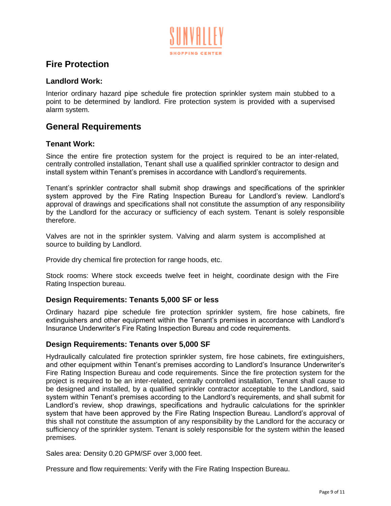

## **Fire Protection**

#### **Landlord Work:**

Interior ordinary hazard pipe schedule fire protection sprinkler system main stubbed to a point to be determined by landlord. Fire protection system is provided with a supervised alarm system.

### **General Requirements**

#### **Tenant Work:**

Since the entire fire protection system for the project is required to be an inter-related, centrally controlled installation, Tenant shall use a qualified sprinkler contractor to design and install system within Tenant's premises in accordance with Landlord's requirements.

Tenant's sprinkler contractor shall submit shop drawings and specifications of the sprinkler system approved by the Fire Rating Inspection Bureau for Landlord's review. Landlord's approval of drawings and specifications shall not constitute the assumption of any responsibility by the Landlord for the accuracy or sufficiency of each system. Tenant is solely responsible therefore.

Valves are not in the sprinkler system. Valving and alarm system is accomplished at source to building by Landlord.

Provide dry chemical fire protection for range hoods, etc.

Stock rooms: Where stock exceeds twelve feet in height, coordinate design with the Fire Rating Inspection bureau.

#### **Design Requirements: Tenants 5,000 SF or less**

Ordinary hazard pipe schedule fire protection sprinkler system, fire hose cabinets, fire extinguishers and other equipment within the Tenant's premises in accordance with Landlord's Insurance Underwriter's Fire Rating Inspection Bureau and code requirements.

#### **Design Requirements: Tenants over 5,000 SF**

Hydraulically calculated fire protection sprinkler system, fire hose cabinets, fire extinguishers, and other equipment within Tenant's premises according to Landlord's Insurance Underwriter's Fire Rating Inspection Bureau and code requirements. Since the fire protection system for the project is required to be an inter-related, centrally controlled installation, Tenant shall cause to be designed and installed, by a qualified sprinkler contractor acceptable to the Landlord, said system within Tenant's premises according to the Landlord's requirements, and shall submit for Landlord's review, shop drawings, specifications and hydraulic calculations for the sprinkler system that have been approved by the Fire Rating Inspection Bureau. Landlord's approval of this shall not constitute the assumption of any responsibility by the Landlord for the accuracy or sufficiency of the sprinkler system. Tenant is solely responsible for the system within the leased premises.

Sales area: Density 0.20 GPM/SF over 3,000 feet.

Pressure and flow requirements: Verify with the Fire Rating Inspection Bureau.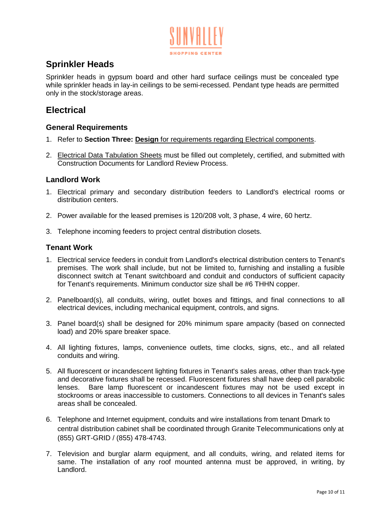

# **Sprinkler Heads**

Sprinkler heads in gypsum board and other hard surface ceilings must be concealed type while sprinkler heads in lay-in ceilings to be semi-recessed. Pendant type heads are permitted only in the stock/storage areas.

### **Electrical**

#### **General Requirements**

- 1. Refer to **Section Three: Design** for requirements regarding Electrical components.
- 2. Electrical Data Tabulation Sheets must be filled out completely, certified, and submitted with Construction Documents for Landlord Review Process.

#### **Landlord Work**

- 1. Electrical primary and secondary distribution feeders to Landlord's electrical rooms or distribution centers.
- 2. Power available for the leased premises is 120/208 volt, 3 phase, 4 wire, 60 hertz.
- 3. Telephone incoming feeders to project central distribution closets.

#### **Tenant Work**

- 1. Electrical service feeders in conduit from Landlord's electrical distribution centers to Tenant's premises. The work shall include, but not be limited to, furnishing and installing a fusible disconnect switch at Tenant switchboard and conduit and conductors of sufficient capacity for Tenant's requirements. Minimum conductor size shall be #6 THHN copper.
- 2. Panelboard(s), all conduits, wiring, outlet boxes and fittings, and final connections to all electrical devices, including mechanical equipment, controls, and signs.
- 3. Panel board(s) shall be designed for 20% minimum spare ampacity (based on connected load) and 20% spare breaker space.
- 4. All lighting fixtures, lamps, convenience outlets, time clocks, signs, etc., and all related conduits and wiring.
- 5. All fluorescent or incandescent lighting fixtures in Tenant's sales areas, other than track-type and decorative fixtures shall be recessed. Fluorescent fixtures shall have deep cell parabolic lenses. Bare lamp fluorescent or incandescent fixtures may not be used except in stockrooms or areas inaccessible to customers. Connections to all devices in Tenant's sales areas shall be concealed.
- 6. Telephone and Internet equipment, conduits and wire installations from tenant Dmark to central distribution cabinet shall be coordinated through Granite Telecommunications only at (855) GRT-GRID / (855) 478-4743.
- 7. Television and burglar alarm equipment, and all conduits, wiring, and related items for same. The installation of any roof mounted antenna must be approved, in writing, by Landlord.